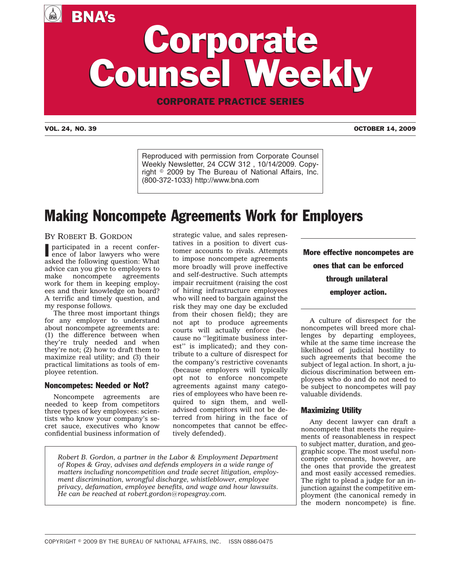A BNA's

# Corporate Counsel Weekly Corporate Counsel Weekly

CORPORATE PRACTICE SERIES

VOL. 24, NO. 39 OCTOBER 14, 2009

Reproduced with permission from Corporate Counsel Weekly Newsletter, 24 CCW 312 , 10/14/2009. Copyright © 2009 by The Bureau of National Affairs, Inc. (800-372-1033) http://www.bna.com

## Making Noncompete Agreements Work for Employers

### BY ROBERT B. GORDON

I participated in a recent conference of labor lawyers who were asked the following question: What advice can you give to employers to make noncompete agreements work for them in keeping employees and their knowledge on board? A terrific and timely question, and my response follows.

The three most important things for any employer to understand about noncompete agreements are: (1) the difference between when they're truly needed and when they're not; (2) how to draft them to maximize real utility; and (3) their practical limitations as tools of employee retention.

#### Noncompetes: Needed or Not?

Noncompete agreements are needed to keep from competitors three types of key employees: scientists who know your company's secret sauce, executives who know confidential business information of strategic value, and sales representatives in a position to divert customer accounts to rivals. Attempts to impose noncompete agreements more broadly will prove ineffective and self-destructive. Such attempts impair recruitment (raising the cost of hiring infrastructure employees who will need to bargain against the risk they may one day be excluded from their chosen field); they are not apt to produce agreements courts will actually enforce (because no ''legitimate business interest'' is implicated); and they contribute to a culture of disrespect for the company's restrictive covenants (because employers will typically opt not to enforce noncompete agreements against many categories of employees who have been required to sign them, and welladvised competitors will not be deterred from hiring in the face of noncompetes that cannot be effectively defended).

*Robert B. Gordon, a partner in the Labor & Employment Department of Ropes & Gray, advises and defends employers in a wide range of matters including noncompetition and trade secret litigation, employment discrimination, wrongful discharge, whistleblower, employee privacy, defamation, employee benefits, and wage and hour lawsuits. He can be reached at robert.gordon@ropesgray.com.*

More effective noncompetes are ones that can be enforced through unilateral employer action.

A culture of disrespect for the noncompetes will breed more challenges by departing employees, while at the same time increase the likelihood of judicial hostility to such agreements that become the subject of legal action. In short, a judicious discrimination between employees who do and do not need to be subject to noncompetes will pay valuable dividends.

#### Maximizing Utility

Any decent lawyer can draft a noncompete that meets the requirements of reasonableness in respect to subject matter, duration, and geographic scope. The most useful noncompete covenants, however, are the ones that provide the greatest and most easily accessed remedies. The right to plead a judge for an injunction against the competitive employment (the canonical remedy in the modern noncompete) is fine.